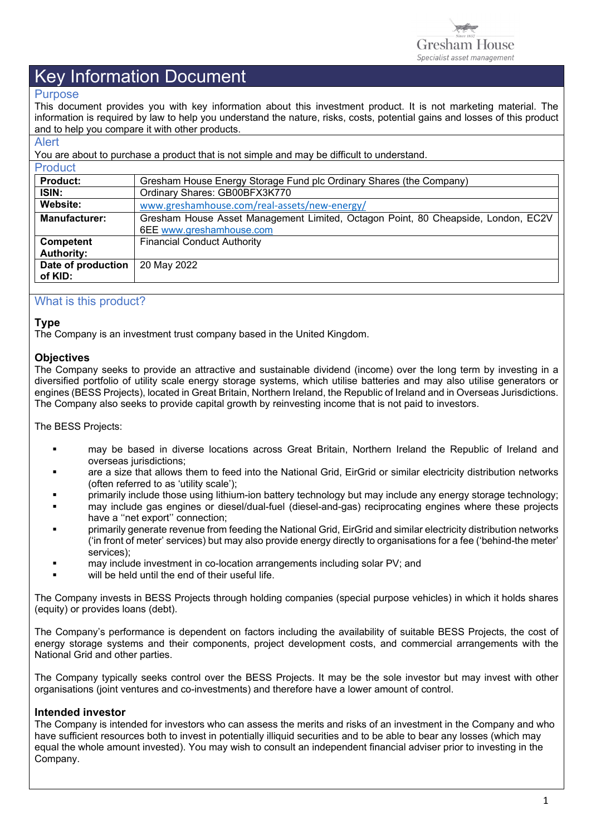

#### Purpose

This document provides you with key information about this investment product. It is not marketing material. The information is required by law to help you understand the nature, risks, costs, potential gains and losses of this product and to help you compare it with other products.

#### Alert

You are about to purchase a product that is not simple and may be difficult to understand.

| <b>Product</b>       |                                                                                   |  |  |  |
|----------------------|-----------------------------------------------------------------------------------|--|--|--|
| <b>Product:</b>      | Gresham House Energy Storage Fund plc Ordinary Shares (the Company)               |  |  |  |
| ISIN:                | Ordinary Shares: GB00BFX3K770                                                     |  |  |  |
| Website:             | www.greshamhouse.com/real-assets/new-energy/                                      |  |  |  |
| <b>Manufacturer:</b> | Gresham House Asset Management Limited, Octagon Point, 80 Cheapside, London, EC2V |  |  |  |
|                      | 6EE www.greshamhouse.com                                                          |  |  |  |
| Competent            | <b>Financial Conduct Authority</b>                                                |  |  |  |
| <b>Authority:</b>    |                                                                                   |  |  |  |
| Date of production   | 20 May 2022                                                                       |  |  |  |
| of KID:              |                                                                                   |  |  |  |
|                      |                                                                                   |  |  |  |

### What is this product?

#### **Type**

The Company is an investment trust company based in the United Kingdom.

#### **Objectives**

The Company seeks to provide an attractive and sustainable dividend (income) over the long term by investing in a diversified portfolio of utility scale energy storage systems, which utilise batteries and may also utilise generators or engines (BESS Projects), located in Great Britain, Northern Ireland, the Republic of Ireland and in Overseas Jurisdictions. The Company also seeks to provide capital growth by reinvesting income that is not paid to investors.

The BESS Projects:

- may be based in diverse locations across Great Britain, Northern Ireland the Republic of Ireland and overseas jurisdictions;
- are a size that allows them to feed into the National Grid, EirGrid or similar electricity distribution networks (often referred to as 'utility scale');
- primarily include those using lithium-ion battery technology but may include any energy storage technology;
- may include gas engines or diesel/dual-fuel (diesel-and-gas) reciprocating engines where these projects have a "net export" connection:
- primarily generate revenue from feeding the National Grid, EirGrid and similar electricity distribution networks ('in front of meter' services) but may also provide energy directly to organisations for a fee ('behind-the meter' services);
- may include investment in co-location arrangements including solar PV; and
- will be held until the end of their useful life.

The Company invests in BESS Projects through holding companies (special purpose vehicles) in which it holds shares (equity) or provides loans (debt).

The Company's performance is dependent on factors including the availability of suitable BESS Projects, the cost of energy storage systems and their components, project development costs, and commercial arrangements with the National Grid and other parties.

The Company typically seeks control over the BESS Projects. It may be the sole investor but may invest with other organisations (joint ventures and co-investments) and therefore have a lower amount of control.

#### **Intended investor**

The Company is intended for investors who can assess the merits and risks of an investment in the Company and who have sufficient resources both to invest in potentially illiquid securities and to be able to bear any losses (which may equal the whole amount invested). You may wish to consult an independent financial adviser prior to investing in the Company.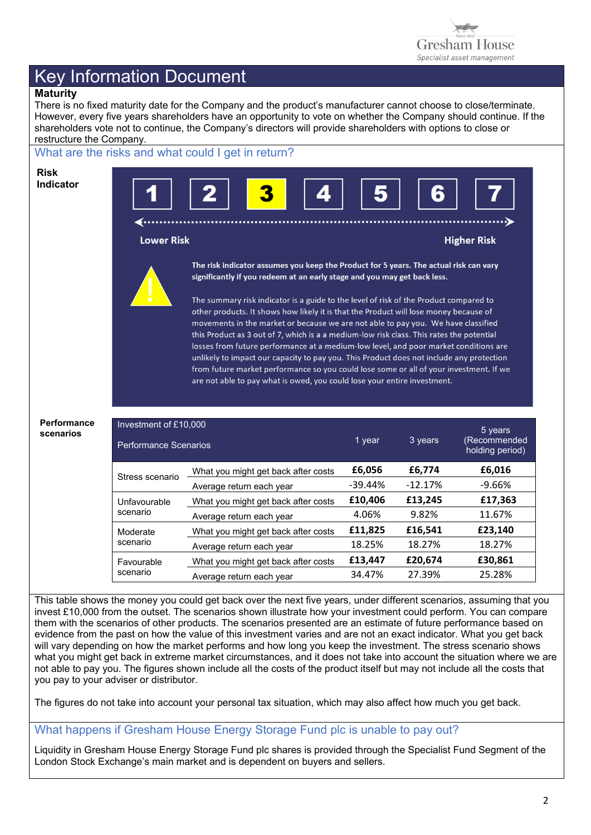

## **Maturity**

There is no fixed maturity date for the Company and the product's manufacturer cannot choose to close/terminate. However, every five years shareholders have an opportunity to vote on whether the Company should continue. If the shareholders vote not to continue, the Company's directors will provide shareholders with options to close or restructure the Company.

#### What are the risks and what could I get in return? **Risk Indicator** . . . . . . . . . . . . . . . . . . . **Lower Risk Higher Risk** The risk indicator assumes you keep the Product for 5 years. The actual risk can vary significantly if you redeem at an early stage and you may get back less. The summary risk indicator is a guide to the level of risk of the Product compared to other products. It shows how likely it is that the Product will lose money because of movements in the market or because we are not able to pay you. We have classified this Product as 3 out of 7, which is a a medium-low risk class. This rates the potential losses from future performance at a medium-low level, and poor market conditions are unlikely to impact our capacity to pay you. This Product does not include any protection from future market performance so you could lose some or all of your investment. If we are not able to pay what is owed, you could lose your entire investment. **Performance**  Investment of £10,000 5 years **scenarios** (Recommended 1 year 3 years Performance Scenarios holding period) Stress scenario What you might get back after costs **£6,056 £6,774 £6,016**<br>Average return each year **12,17%** -9,66% Average return each year What you might get back after costs **£10,406 £13,245 £17,363** Unfavourable scenario Average return each year 14.06% 9.82% 11.67% What you might get back after costs **£11,825 £16,541 £23,140** Moderate scenario Average return each year 18.25% 18.27% 18.27% What you might get back after costs **£13,447 £20,674 £30,861** Favourable scenario Average return each year 34.47% 27.39% 25.28%

This table shows the money you could get back over the next five years, under different scenarios, assuming that you invest £10,000 from the outset. The scenarios shown illustrate how your investment could perform. You can compare them with the scenarios of other products. The scenarios presented are an estimate of future performance based on evidence from the past on how the value of this investment varies and are not an exact indicator. What you get back will vary depending on how the market performs and how long you keep the investment. The stress scenario shows what you might get back in extreme market circumstances, and it does not take into account the situation where we are not able to pay you. The figures shown include all the costs of the product itself but may not include all the costs that you pay to your adviser or distributor.

The figures do not take into account your personal tax situation, which may also affect how much you get back.

#### What happens if Gresham House Energy Storage Fund plc is unable to pay out?

Liquidity in Gresham House Energy Storage Fund plc shares is provided through the Specialist Fund Segment of the London Stock Exchange's main market and is dependent on buyers and sellers.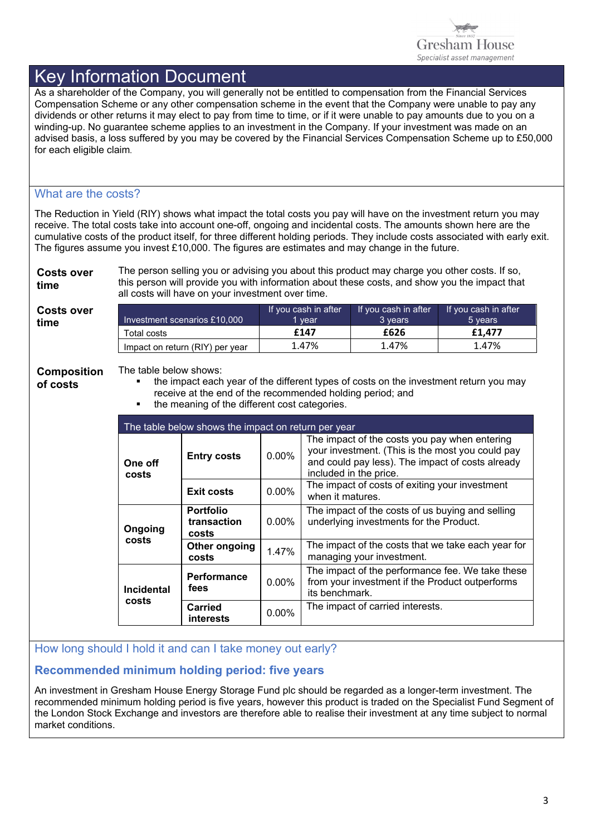

As a shareholder of the Company, you will generally not be entitled to compensation from the Financial Services Compensation Scheme or any other compensation scheme in the event that the Company were unable to pay any dividends or other returns it may elect to pay from time to time, or if it were unable to pay amounts due to you on a winding-up. No guarantee scheme applies to an investment in the Company. If your investment was made on an advised basis, a loss suffered by you may be covered by the Financial Services Compensation Scheme up to £50,000 for each eligible claim.

## What are the costs?

The Reduction in Yield (RIY) shows what impact the total costs you pay will have on the investment return you may receive. The total costs take into account one-off, ongoing and incidental costs. The amounts shown here are the cumulative costs of the product itself, for three different holding periods. They include costs associated with early exit. The figures assume you invest £10,000. The figures are estimates and may change in the future.

**Costs over time**  The person selling you or advising you about this product may charge you other costs. If so, this person will provide you with information about these costs, and show you the impact that all costs will have on your investment over time.

**Costs over** 

**time** Investment scenarios £10,000 If you cash in after 1 year If you cash in after 3 years If you cash in after 5 years Total costs **£147 £626 £1,477** Impact on return (RIY) per year  $\begin{vmatrix} 1.47\% & 1.47\% \end{vmatrix}$  1.47% 1.47%

**Composition** 

The table below shows:

**of costs** 

 the impact each year of the different types of costs on the investment return you may receive at the end of the recommended holding period; and

the meaning of the different cost categories.

| The table below shows the impact on return per year |                                          |          |                                                                                                                                                                                 |  |
|-----------------------------------------------------|------------------------------------------|----------|---------------------------------------------------------------------------------------------------------------------------------------------------------------------------------|--|
| One off<br>costs                                    | <b>Entry costs</b>                       | 0.00%    | The impact of the costs you pay when entering<br>your investment. (This is the most you could pay<br>and could pay less). The impact of costs already<br>included in the price. |  |
|                                                     | <b>Exit costs</b>                        | 0.00%    | The impact of costs of exiting your investment<br>when it matures.                                                                                                              |  |
| Ongoing<br>costs                                    | <b>Portfolio</b><br>transaction<br>costs | $0.00\%$ | The impact of the costs of us buying and selling<br>underlying investments for the Product.                                                                                     |  |
|                                                     | Other ongoing<br>costs                   | 1.47%    | The impact of the costs that we take each year for<br>managing your investment.                                                                                                 |  |
| <b>Incidental</b><br>costs                          | <b>Performance</b><br>fees               | $0.00\%$ | The impact of the performance fee. We take these<br>from your investment if the Product outperforms<br>its benchmark.                                                           |  |
|                                                     | <b>Carried</b><br>interests              | 0.00%    | The impact of carried interests.                                                                                                                                                |  |

How long should I hold it and can I take money out early?

## **Recommended minimum holding period: five years**

An investment in Gresham House Energy Storage Fund plc should be regarded as a longer-term investment. The recommended minimum holding period is five years, however this product is traded on the Specialist Fund Segment of the London Stock Exchange and investors are therefore able to realise their investment at any time subject to normal market conditions.